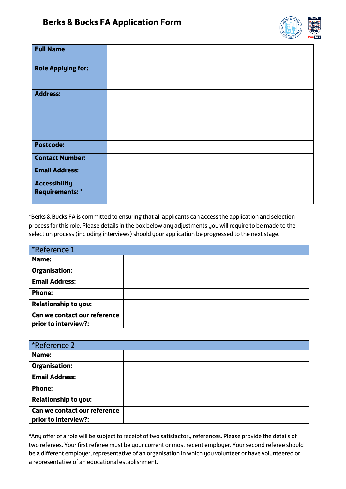

| <b>Full Name</b>                               |  |
|------------------------------------------------|--|
| <b>Role Applying for:</b>                      |  |
| <b>Address:</b>                                |  |
| <b>Postcode:</b>                               |  |
| <b>Contact Number:</b>                         |  |
| <b>Email Address:</b>                          |  |
| <b>Accessibility</b><br><b>Requirements: *</b> |  |

\*Berks & Bucks FA is committed to ensuring that all applicants can access the application and selection process for this role. Please details in the box below any adjustments you will require to be made to the selection process (including interviews) should your application be progressed to the next stage.

| *Reference 1                                         |  |  |
|------------------------------------------------------|--|--|
| Name:                                                |  |  |
| <b>Organisation:</b>                                 |  |  |
| <b>Email Address:</b>                                |  |  |
| <b>Phone:</b>                                        |  |  |
| <b>Relationship to you:</b>                          |  |  |
| Can we contact our reference<br>prior to interview?: |  |  |

| *Reference 2                                         |  |  |
|------------------------------------------------------|--|--|
| Name:                                                |  |  |
| <b>Organisation:</b>                                 |  |  |
| <b>Email Address:</b>                                |  |  |
| <b>Phone:</b>                                        |  |  |
| <b>Relationship to you:</b>                          |  |  |
| Can we contact our reference<br>prior to interview?: |  |  |

\*Any offer of a role will be subject to receipt of two satisfactory references. Please provide the details of two referees. Your first referee must be your current or most recent employer. Your second referee should be a different employer, representative of an organisation in which you volunteer or have volunteered or a representative of an educational establishment.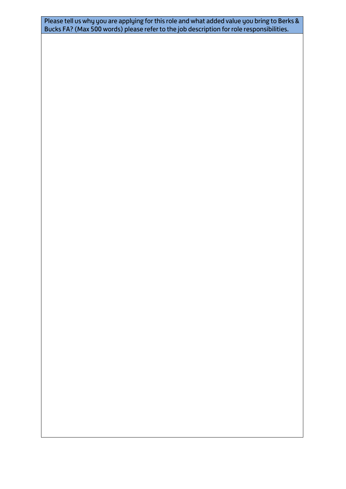Please tell us why you are applying for this role and what added value you bring to Berks & Bucks FA? (Max 500 words) please refer to the job description for role responsibilities.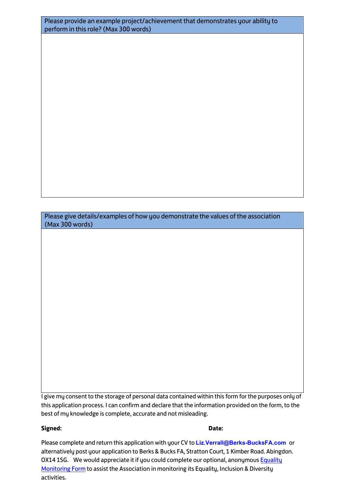| Please provide an example project/achievement that demonstrates your ability to |
|---------------------------------------------------------------------------------|
| perform in this role? (Max 300 words)                                           |

Please give details/examples of how you demonstrate the values of the association (Max 300 words)

I give my consent to the storage of personal data contained within this form for the purposes only of this application process. I can confirm and declare that the information provided on the form, to the best of my knowledge is complete, accurate and not misleading.

## **Signed: Date:**

Please complete and return this application with your CV to **[Liz.Verrall@Berks-BucksFA.com](jonathan.wood@Berks-BucksFA.com)** or alternatively post your application to Berks & Bucks FA, Stratton Court, 1 Kimber Road. Abingdon. OX14 1SG. We would appreciate it if you could complete our optional, anonymous **Equality** [Monitoring Form](https://forms.office.com/r/P460vYqdRs) to assist the Association in monitoring its Equality, Inclusion & Diversity activities.